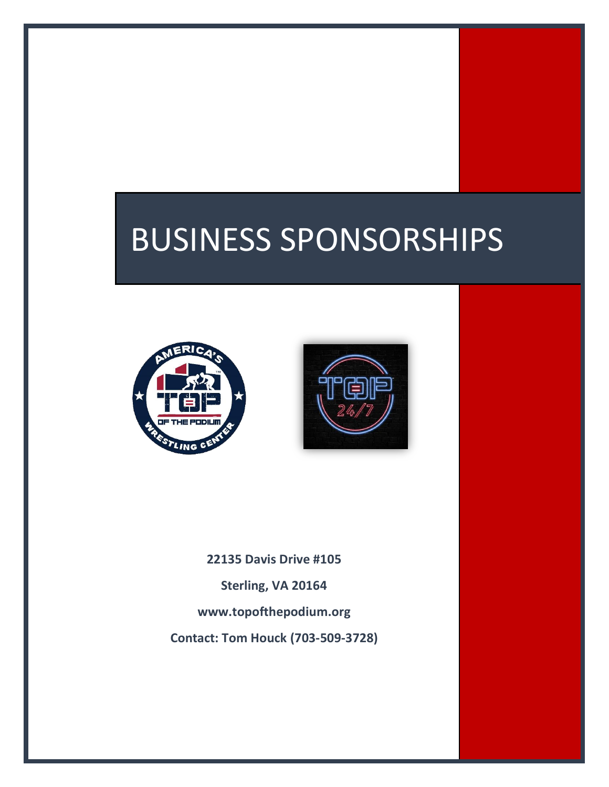# BUSINESS SPONSORSHIPS





**22135 Davis Drive #105 Sterling, VA 20164 [www.topofthepodium.org](http://www.topofthepodium.org/) Contact: Tom Houck (703-509-3728)**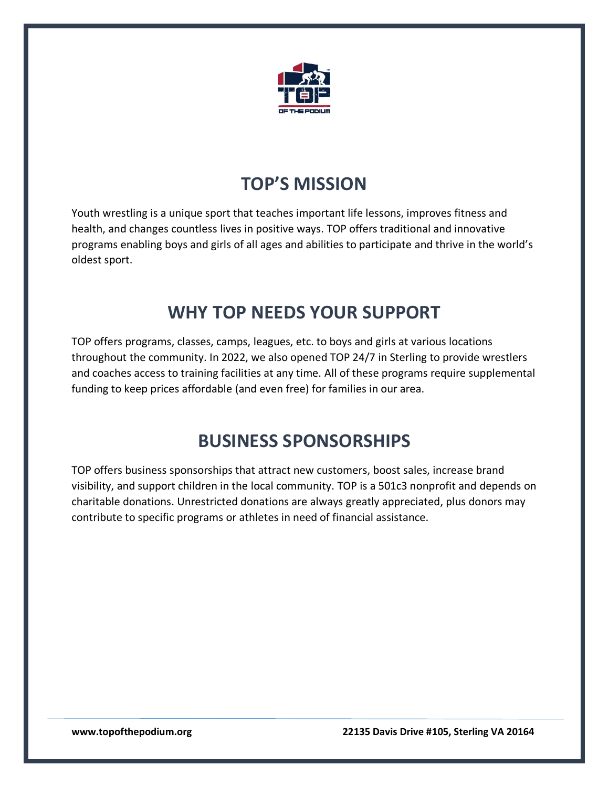

# **TOP'S MISSION**

Youth wrestling is a unique sport that teaches important life lessons, improves fitness and health, and changes countless lives in positive ways. TOP offers traditional and innovative programs enabling boys and girls of all ages and abilities to participate and thrive in the world's oldest sport.

# **WHY TOP NEEDS YOUR SUPPORT**

TOP offers programs, classes, camps, leagues, etc. to boys and girls at various locations throughout the community. In 2022, we also opened TOP 24/7 in Sterling to provide wrestlers and coaches access to training facilities at any time. All of these programs require supplemental funding to keep prices affordable (and even free) for families in our area.

# **BUSINESS SPONSORSHIPS**

TOP offers business sponsorships that attract new customers, boost sales, increase brand visibility, and support children in the local community. TOP is a 501c3 nonprofit and depends on charitable donations. Unrestricted donations are always greatly appreciated, plus donors may contribute to specific programs or athletes in need of financial assistance.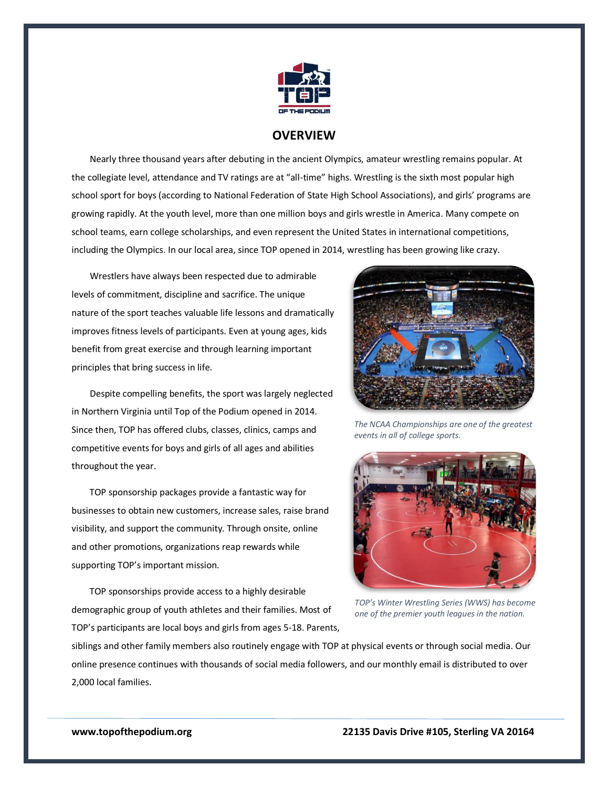

## **OVERVIEW**

 Nearly three thousand years after debuting in the ancient Olympics, amateur wrestling remains popular. At the collegiate level, attendance and TV ratings are at "all-time" highs. Wrestling is the sixth most popular high school sport for boys (according to National Federation of State High School Associations), and girls' programs are growing rapidly. At the youth level, more than one million boys and girls wrestle in America. Many compete on school teams, earn college scholarships, and even represent the United States in international competitions, including the Olympics. In our local area, since TOP opened in 2014, wrestling has been growing like crazy.

 Wrestlers have always been respected due to admirable levels of commitment, discipline and sacrifice. The unique nature of the sport teaches valuable life lessons and dramatically improves fitness levels of participants. Even at young ages, kids benefit from great exercise and through learning important principles that bring success in life.

 Despite compelling benefits, the sport was largely neglected in Northern Virginia until Top of the Podium opened in 2014. Since then, TOP has offered clubs, classes, clinics, camps and competitive events for boys and girls of all ages and abilities throughout the year.

TOP sponsorship packages provide a fantastic way for businesses to obtain new customers, increase sales, raise brand visibility, and support the community. Through onsite, online and other promotions, organizations reap rewards while supporting TOP's important mission.

TOP sponsorships provide access to a highly desirable demographic group of youth athletes and their families. Most of TOP's participants are local boys and girls from ages 5-18. Parents,



*The NCAA Championships are one of the greatest events in all of college sports.*



*TOP's Winter Wrestling Series (WWS) has become one of the premier youth leagues in the nation.*

siblings and other family members also routinely engage with TOP at physical events or through social media. Our online presence continues with thousands of social media followers, and our monthly email is distributed to over 2,000 local families.